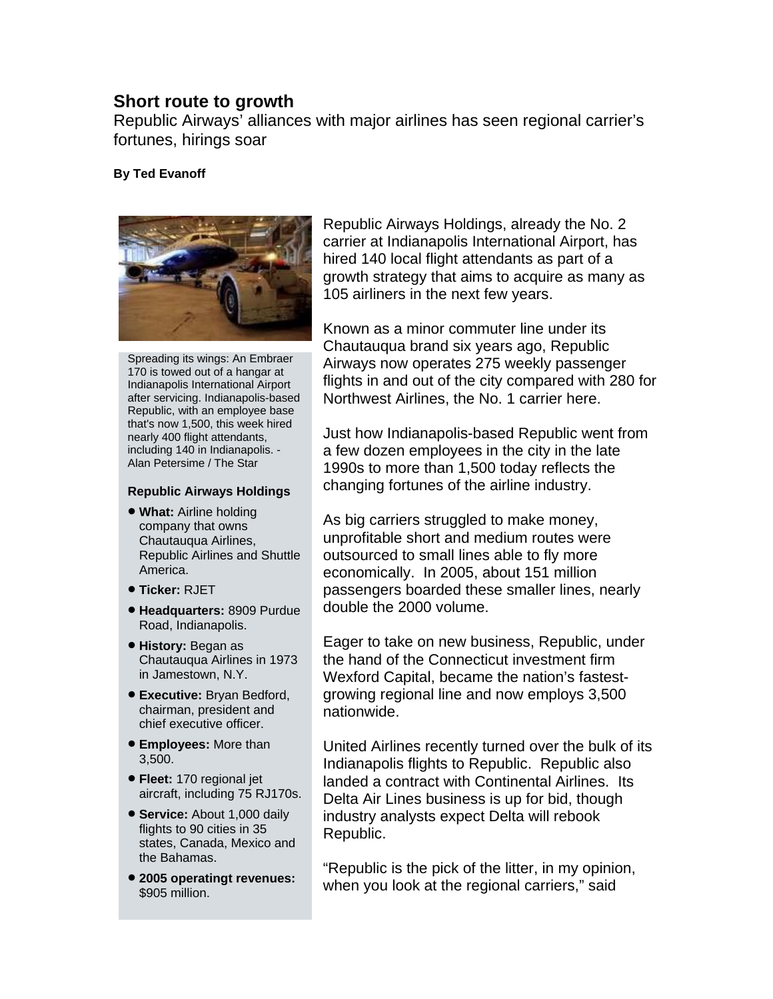## **Short route to growth**

Republic Airways' alliances with major airlines has seen regional carrier's fortunes, hirings soar

## **By Ted Evanoff**



Spreading its wings: An Embraer 170 is towed out of a hangar at Indianapolis International Airport after servicing. Indianapolis-based Republic, with an employee base that's now 1,500, this week hired nearly 400 flight attendants, including 140 in Indianapolis. - Alan Petersime / The Star

## **Republic Airways Holdings**

- **What:** Airline holding company that owns Chautauqua Airlines, Republic Airlines and Shuttle America.
- **Ticker:** RJET
- **Headquarters:** 8909 Purdue Road, Indianapolis.
- **History:** Began as Chautauqua Airlines in 1973 in Jamestown, N.Y.
- **Executive: Bryan Bedford,** chairman, president and chief executive officer.
- **Employees:** More than 3,500.
- **Fleet:** 170 regional jet aircraft, including 75 RJ170s.
- **Service:** About 1,000 daily flights to 90 cities in 35 states, Canada, Mexico and the Bahamas.
- **eratingt revenues: 2005 op** \$905 million.

Republic Airways Holdings, already the No. 2 carrier at Indianapolis International Airport, has hired 140 local flight attendants as part of a growth strategy that aims to acquire as many as 105 airliners in the next few years.

Known as a minor commuter line under its Chautauqua brand six years ago, Republic Airways now operates 275 weekly passenger flights in and out of the city compared with 280 for Northwest Airlines, the No. 1 carrier here.

Just how Indianapolis-based Republic went from a few dozen employees in the city in the late 1990s to more than 1,500 today reflects the changing fortunes of the airline industry.

As big carriers struggled to make money, unprofitable short and medium routes were outsourced to small lines able to fly more economically. In 2005, about 151 million passengers boarded these smaller lines, nearly double the 2000 volume.

Eager to take on new business, Republic, under the hand of the Connecticut investment firm Wexford Capital, became the nation's fastestgrowing regional line and now employs 3,500 nationwide.

United Airlines recently turned over the bulk of its Indianapolis flights to Republic. Republic also landed a contract with Continental Airlines. Its Delta Air Lines business is up for bid, though industry analysts expect Delta will rebook Republic.

"Republic is the pick of the litter, in my opinion, when you look at the regional carriers," said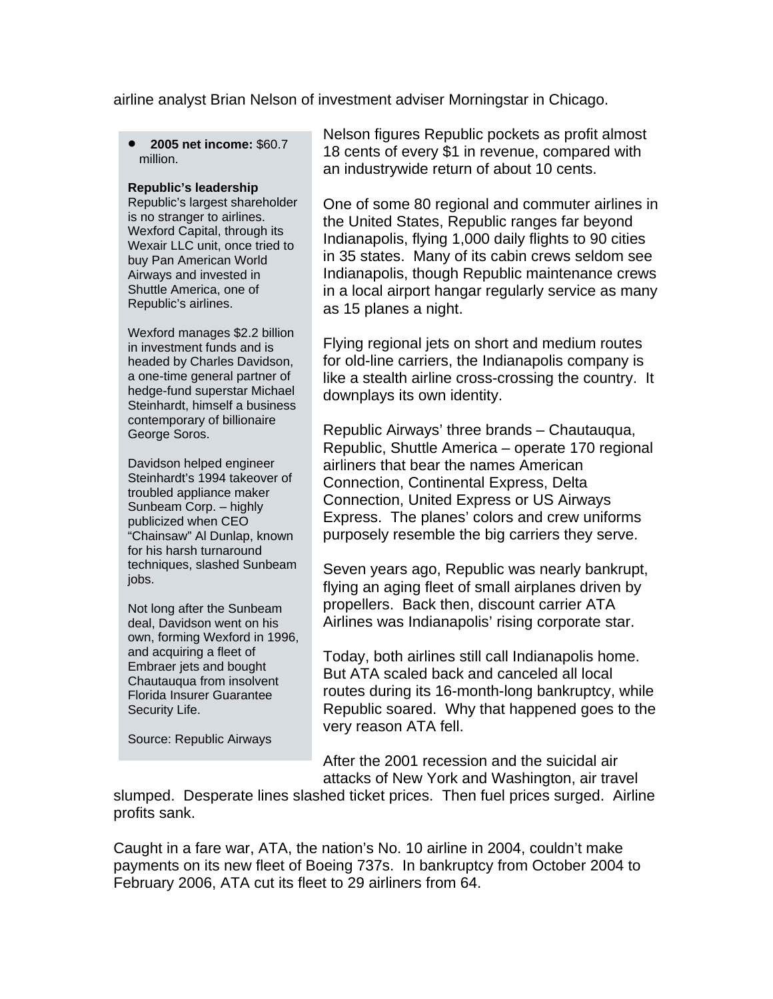airline analyst Brian Nelson of investment adviser Morningstar in Chicago.

• **2005 net income:** \$60.7 million.

## **Republic's leadership**

Republic's largest shareho lder is no stranger to airlines. Wexford Capital, through its Wexair LLC unit, once tried to buy Pan American World Airways and invested in Shuttle America, one of Republic's airlines.

headed by Charles Davidson, a one-time general partner of Wexford manages \$2.2 billion in investment funds and is hedge-fund superstar Michael Steinhardt, himself a business contemporary of billionaire George Soros.

publicized when CEO "Chainsaw" Al Dunlap, known Davidson helped engineer Steinhardt's 1994 takeover of troubled appliance maker Sunbeam Corp. – highly for his harsh turnaround techniques, slashed Sunbeam jobs.

own, forming Wexford in 1996, Florida Insurer Guarantee Security Life. Not long after the Sunbeam deal, Davidson went on his and acquiring a fleet of Embraer jets and bought Chautauqua from insolvent

Source: Republic Airways

Nelson figures Republic pockets as profit almost 18 cents of every \$1 in revenue, compared with an industrywide return of about 10 cents.

One of some 80 regional and commuter airlines in the United States, Republic ranges far beyond Indianapolis, flying 1,000 daily flights to 90 cities in 35 states. Many of its cabin crews seldom see Indianapolis, though Republic maintenance crews in a local airport hangar regularly service as many as 15 planes a night.

Flying regional jets on short and medium routes for old-line carriers, the Indianapolis company is like a stealth airline cross-crossing the country. It downplays its own identity.

Republic Airways' three brands – Chautauqua, Republic, Shuttle America – operate 170 regional airliners that bear the names American Connection, Continental Express, Delta Connection, United Express or US Airways Express. The planes' colors and crew uniforms purposely resemble the big carriers they serve.

Seven years ago, Republic was nearly bankrupt, flying an aging fleet of small airplanes driven by propellers. Back then, discount carrier ATA Airlines was Indianapolis' rising corporate star.

Today, both airlines still call Indianapolis home. But ATA scaled back and canceled all local routes during its 16-month-long bankruptcy, while Republic soared. Why that happened goes to the very reason ATA fell.

After the 2001 recession and the suicidal air attacks of New York and Washington, air travel

slumped. Desperate lines slashed ticket prices. Then fuel prices surged. Airline profits sank.

Caught in a fare war, ATA, the nation's No. 10 airline in 2004, couldn't make payments on its new fleet of Boeing 737s. In bankruptcy from October 2004 to February 2006, ATA cut its fleet to 29 airliners from 64.